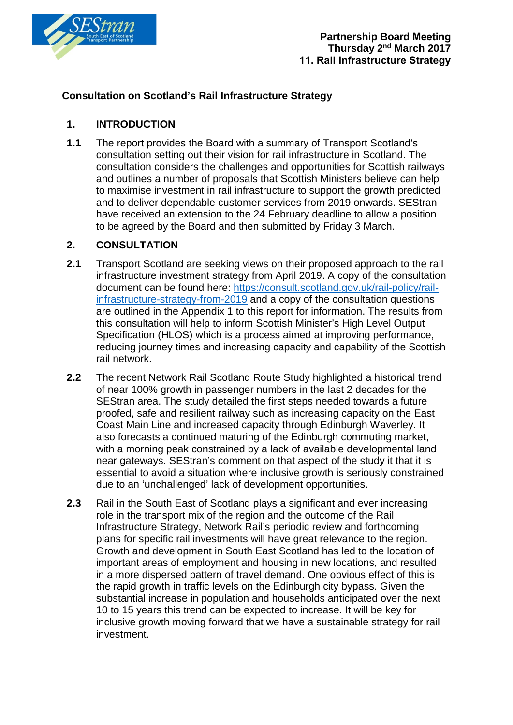

## **Consultation on Scotland's Rail Infrastructure Strategy**

## **1. INTRODUCTION**

**1.1** The report provides the Board with a summary of Transport Scotland's consultation setting out their vision for rail infrastructure in Scotland. The consultation considers the challenges and opportunities for Scottish railways and outlines a number of proposals that Scottish Ministers believe can help to maximise investment in rail infrastructure to support the growth predicted and to deliver dependable customer services from 2019 onwards. SEStran have received an extension to the 24 February deadline to allow a position to be agreed by the Board and then submitted by Friday 3 March.

## **2. CONSULTATION**

- **2.1** Transport Scotland are seeking views on their proposed approach to the rail infrastructure investment strategy from April 2019. A copy of the consultation document can be found here: [https://consult.scotland.gov.uk/rail-policy/rail](https://consult.scotland.gov.uk/rail-policy/rail-infrastructure-strategy-from-2019)[infrastructure-strategy-from-2019](https://consult.scotland.gov.uk/rail-policy/rail-infrastructure-strategy-from-2019) and a copy of the consultation questions are outlined in the Appendix 1 to this report for information. The results from this consultation will help to inform Scottish Minister's High Level Output Specification (HLOS) which is a process aimed at improving performance, reducing journey times and increasing capacity and capability of the Scottish rail network.
- **2.2** The recent Network Rail Scotland Route Study highlighted a historical trend of near 100% growth in passenger numbers in the last 2 decades for the SEStran area. The study detailed the first steps needed towards a future proofed, safe and resilient railway such as increasing capacity on the East Coast Main Line and increased capacity through Edinburgh Waverley. It also forecasts a continued maturing of the Edinburgh commuting market, with a morning peak constrained by a lack of available developmental land near gateways. SEStran's comment on that aspect of the study it that it is essential to avoid a situation where inclusive growth is seriously constrained due to an 'unchallenged' lack of development opportunities.
- **2.3** Rail in the South East of Scotland plays a significant and ever increasing role in the transport mix of the region and the outcome of the Rail Infrastructure Strategy, Network Rail's periodic review and forthcoming plans for specific rail investments will have great relevance to the region. Growth and development in South East Scotland has led to the location of important areas of employment and housing in new locations, and resulted in a more dispersed pattern of travel demand. One obvious effect of this is the rapid growth in traffic levels on the Edinburgh city bypass. Given the substantial increase in population and households anticipated over the next 10 to 15 years this trend can be expected to increase. It will be key for inclusive growth moving forward that we have a sustainable strategy for rail investment.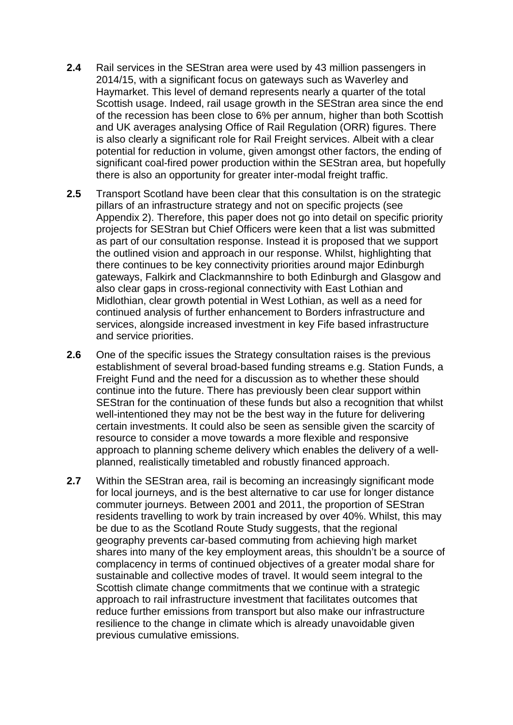- **2.4** Rail services in the SEStran area were used by 43 million passengers in 2014/15, with a significant focus on gateways such as Waverley and Haymarket. This level of demand represents nearly a quarter of the total Scottish usage. Indeed, rail usage growth in the SEStran area since the end of the recession has been close to 6% per annum, higher than both Scottish and UK averages analysing Office of Rail Regulation (ORR) figures. There is also clearly a significant role for Rail Freight services. Albeit with a clear potential for reduction in volume, given amongst other factors, the ending of significant coal-fired power production within the SEStran area, but hopefully there is also an opportunity for greater inter-modal freight traffic.
- **2.5** Transport Scotland have been clear that this consultation is on the strategic pillars of an infrastructure strategy and not on specific projects (see Appendix 2). Therefore, this paper does not go into detail on specific priority projects for SEStran but Chief Officers were keen that a list was submitted as part of our consultation response. Instead it is proposed that we support the outlined vision and approach in our response. Whilst, highlighting that there continues to be key connectivity priorities around major Edinburgh gateways, Falkirk and Clackmannshire to both Edinburgh and Glasgow and also clear gaps in cross-regional connectivity with East Lothian and Midlothian, clear growth potential in West Lothian, as well as a need for continued analysis of further enhancement to Borders infrastructure and services, alongside increased investment in key Fife based infrastructure and service priorities.
- **2.6** One of the specific issues the Strategy consultation raises is the previous establishment of several broad-based funding streams e.g. Station Funds, a Freight Fund and the need for a discussion as to whether these should continue into the future. There has previously been clear support within SEStran for the continuation of these funds but also a recognition that whilst well-intentioned they may not be the best way in the future for delivering certain investments. It could also be seen as sensible given the scarcity of resource to consider a move towards a more flexible and responsive approach to planning scheme delivery which enables the delivery of a wellplanned, realistically timetabled and robustly financed approach.
- **2.7** Within the SEStran area, rail is becoming an increasingly significant mode for local journeys, and is the best alternative to car use for longer distance commuter journeys. Between 2001 and 2011, the proportion of SEStran residents travelling to work by train increased by over 40%. Whilst, this may be due to as the Scotland Route Study suggests, that the regional geography prevents car-based commuting from achieving high market shares into many of the key employment areas, this shouldn't be a source of complacency in terms of continued objectives of a greater modal share for sustainable and collective modes of travel. It would seem integral to the Scottish climate change commitments that we continue with a strategic approach to rail infrastructure investment that facilitates outcomes that reduce further emissions from transport but also make our infrastructure resilience to the change in climate which is already unavoidable given previous cumulative emissions.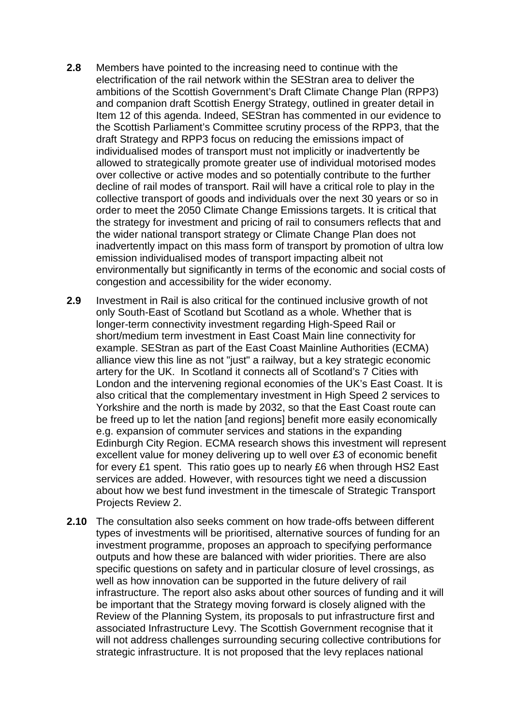- **2.8** Members have pointed to the increasing need to continue with the electrification of the rail network within the SEStran area to deliver the ambitions of the Scottish Government's Draft Climate Change Plan (RPP3) and companion draft Scottish Energy Strategy, outlined in greater detail in Item 12 of this agenda. Indeed, SEStran has commented in our evidence to the Scottish Parliament's Committee scrutiny process of the RPP3, that the draft Strategy and RPP3 focus on reducing the emissions impact of individualised modes of transport must not implicitly or inadvertently be allowed to strategically promote greater use of individual motorised modes over collective or active modes and so potentially contribute to the further decline of rail modes of transport. Rail will have a critical role to play in the collective transport of goods and individuals over the next 30 years or so in order to meet the 2050 Climate Change Emissions targets. It is critical that the strategy for investment and pricing of rail to consumers reflects that and the wider national transport strategy or Climate Change Plan does not inadvertently impact on this mass form of transport by promotion of ultra low emission individualised modes of transport impacting albeit not environmentally but significantly in terms of the economic and social costs of congestion and accessibility for the wider economy.
- **2.9** Investment in Rail is also critical for the continued inclusive growth of not only South-East of Scotland but Scotland as a whole. Whether that is longer-term connectivity investment regarding High-Speed Rail or short/medium term investment in East Coast Main line connectivity for example. SEStran as part of the East Coast Mainline Authorities (ECMA) alliance view this line as not "just" a railway, but a key strategic economic artery for the UK. In Scotland it connects all of Scotland's 7 Cities with London and the intervening regional economies of the UK's East Coast. It is also critical that the complementary investment in High Speed 2 services to Yorkshire and the north is made by 2032, so that the East Coast route can be freed up to let the nation [and regions] benefit more easily economically e.g. expansion of commuter services and stations in the expanding Edinburgh City Region. ECMA research shows this investment will represent excellent value for money delivering up to well over £3 of economic benefit for every £1 spent. This ratio goes up to nearly £6 when through HS2 East services are added. However, with resources tight we need a discussion about how we best fund investment in the timescale of Strategic Transport Projects Review 2.
- **2.10** The consultation also seeks comment on how trade-offs between different types of investments will be prioritised, alternative sources of funding for an investment programme, proposes an approach to specifying performance outputs and how these are balanced with wider priorities. There are also specific questions on safety and in particular closure of level crossings, as well as how innovation can be supported in the future delivery of rail infrastructure. The report also asks about other sources of funding and it will be important that the Strategy moving forward is closely aligned with the Review of the Planning System, its proposals to put infrastructure first and associated Infrastructure Levy. The Scottish Government recognise that it will not address challenges surrounding securing collective contributions for strategic infrastructure. It is not proposed that the levy replaces national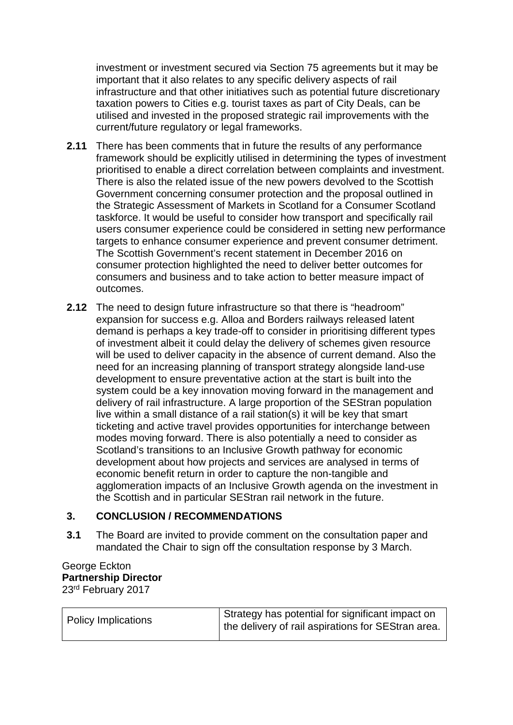investment or investment secured via Section 75 agreements but it may be important that it also relates to any specific delivery aspects of rail infrastructure and that other initiatives such as potential future discretionary taxation powers to Cities e.g. tourist taxes as part of City Deals, can be utilised and invested in the proposed strategic rail improvements with the current/future regulatory or legal frameworks.

- **2.11** There has been comments that in future the results of any performance framework should be explicitly utilised in determining the types of investment prioritised to enable a direct correlation between complaints and investment. There is also the related issue of the new powers devolved to the Scottish Government concerning consumer protection and the proposal outlined in the Strategic Assessment of Markets in Scotland for a Consumer Scotland taskforce. It would be useful to consider how transport and specifically rail users consumer experience could be considered in setting new performance targets to enhance consumer experience and prevent consumer detriment. The Scottish Government's recent statement in December 2016 on consumer protection highlighted the need to deliver better outcomes for consumers and business and to take action to better measure impact of outcomes.
- **2.12** The need to design future infrastructure so that there is "headroom" expansion for success e.g. Alloa and Borders railways released latent demand is perhaps a key trade-off to consider in prioritising different types of investment albeit it could delay the delivery of schemes given resource will be used to deliver capacity in the absence of current demand. Also the need for an increasing planning of transport strategy alongside land-use development to ensure preventative action at the start is built into the system could be a key innovation moving forward in the management and delivery of rail infrastructure. A large proportion of the SEStran population live within a small distance of a rail station(s) it will be key that smart ticketing and active travel provides opportunities for interchange between modes moving forward. There is also potentially a need to consider as Scotland's transitions to an Inclusive Growth pathway for economic development about how projects and services are analysed in terms of economic benefit return in order to capture the non-tangible and agglomeration impacts of an Inclusive Growth agenda on the investment in the Scottish and in particular SEStran rail network in the future.

### **3. CONCLUSION / RECOMMENDATIONS**

**3.1** The Board are invited to provide comment on the consultation paper and mandated the Chair to sign off the consultation response by 3 March.

#### George Eckton **Partnership Director** 23rd February 2017

| <b>Policy Implications</b> | Strategy has potential for significant impact on<br>the delivery of rail aspirations for SEStran area. |
|----------------------------|--------------------------------------------------------------------------------------------------------|
|                            |                                                                                                        |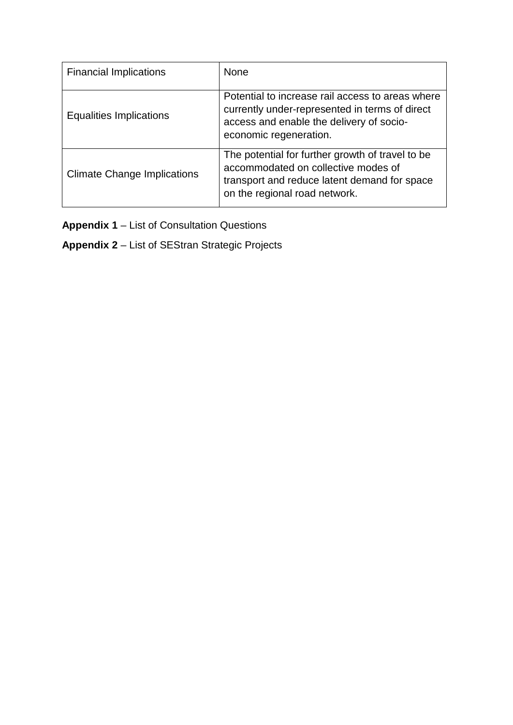| <b>Financial Implications</b>      | <b>None</b>                                                                                                                                                              |
|------------------------------------|--------------------------------------------------------------------------------------------------------------------------------------------------------------------------|
| Equalities Implications            | Potential to increase rail access to areas where<br>currently under-represented in terms of direct<br>access and enable the delivery of socio-<br>economic regeneration. |
| <b>Climate Change Implications</b> | The potential for further growth of travel to be<br>accommodated on collective modes of<br>transport and reduce latent demand for space<br>on the regional road network. |

**Appendix 1** – List of Consultation Questions

**Appendix 2** – List of SEStran Strategic Projects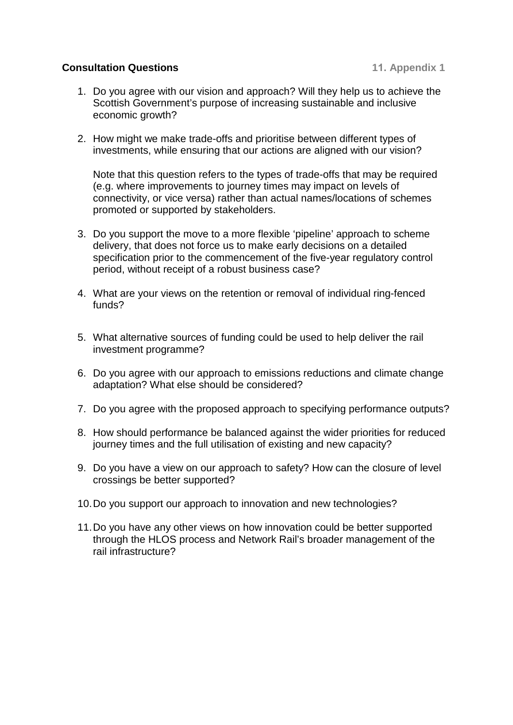#### **Consultation Questions 11. Appendix 1**

- 1. Do you agree with our vision and approach? Will they help us to achieve the Scottish Government's purpose of increasing sustainable and inclusive economic growth?
- 2. How might we make trade-offs and prioritise between different types of investments, while ensuring that our actions are aligned with our vision?

Note that this question refers to the types of trade-offs that may be required (e.g. where improvements to journey times may impact on levels of connectivity, or vice versa) rather than actual names/locations of schemes promoted or supported by stakeholders.

- 3. Do you support the move to a more flexible 'pipeline' approach to scheme delivery, that does not force us to make early decisions on a detailed specification prior to the commencement of the five-year regulatory control period, without receipt of a robust business case?
- 4. What are your views on the retention or removal of individual ring-fenced funds?
- 5. What alternative sources of funding could be used to help deliver the rail investment programme?
- 6. Do you agree with our approach to emissions reductions and climate change adaptation? What else should be considered?
- 7. Do you agree with the proposed approach to specifying performance outputs?
- 8. How should performance be balanced against the wider priorities for reduced journey times and the full utilisation of existing and new capacity?
- 9. Do you have a view on our approach to safety? How can the closure of level crossings be better supported?
- 10.Do you support our approach to innovation and new technologies?
- 11.Do you have any other views on how innovation could be better supported through the HLOS process and Network Rail's broader management of the rail infrastructure?